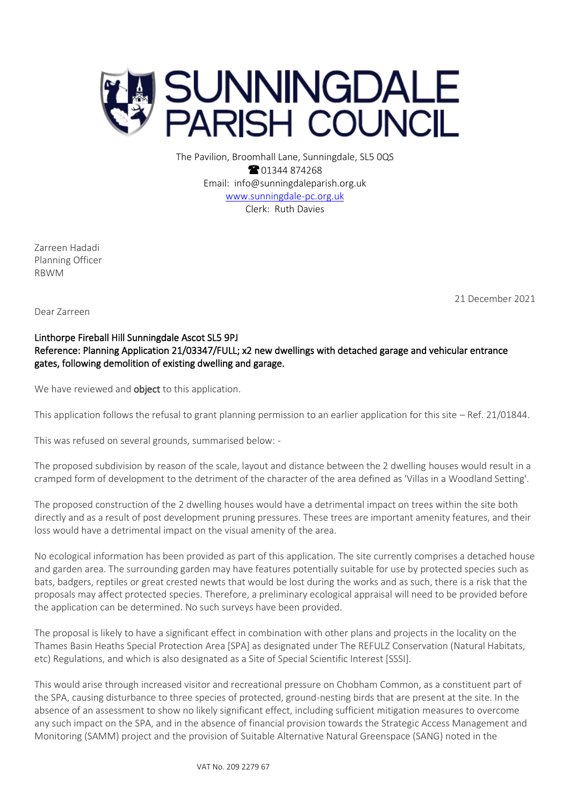

The Pavilion, Broomhall Lane, Sunningdale, SL5 0QS **@01344874268** Email: info@sunningdaleparish.org.uk [www.sunningdale-pc.org.uk](http://www.sunningdale-pc.org.uk/) Clerk: Ruth Davies

Zarreen Hadadi Planning Officer RBWM

21 December 2021

Dear Zarreen

# Linthorpe Fireball Hill Sunningdale Ascot SL5 9PJ Reference: Planning Application 21/03347/FULL; x2 new dwellings with detached garage and vehicular entrance gates, following demolition of existing dwelling and garage.

We have reviewed and **object** to this application.

This application follows the refusal to grant planning permission to an earlier application for this site – Ref. 21/01844.

This was refused on several grounds, summarised below: -

The proposed subdivision by reason of the scale, layout and distance between the 2 dwelling houses would result in a cramped form of development to the detriment of the character of the area defined as 'Villas in a Woodland Setting'.

The proposed construction of the 2 dwelling houses would have a detrimental impact on trees within the site both directly and as a result of post development pruning pressures. These trees are important amenity features, and their loss would have a detrimental impact on the visual amenity of the area.

No ecological information has been provided as part of this application. The site currently comprises a detached house and garden area. The surrounding garden may have features potentially suitable for use by protected species such as bats, badgers, reptiles or great crested newts that would be lost during the works and as such, there is a risk that the proposals may affect protected species. Therefore, a preliminary ecological appraisal will need to be provided before the application can be determined. No such surveys have been provided.

The proposal is likely to have a significant effect in combination with other plans and projects in the locality on the Thames Basin Heaths Special Protection Area [SPA] as designated under The REFULZ Conservation (Natural Habitats, etc) Regulations, and which is also designated as a Site of Special Scientific Interest [SSSI].

This would arise through increased visitor and recreational pressure on Chobham Common, as a constituent part of the SPA, causing disturbance to three species of protected, ground-nesting birds that are present at the site. In the absence of an assessment to show no likely significant effect, including sufficient mitigation measures to overcome any such impact on the SPA, and in the absence of financial provision towards the Strategic Access Management and Monitoring (SAMM) project and the provision of Suitable Alternative Natural Greenspace (SANG) noted in the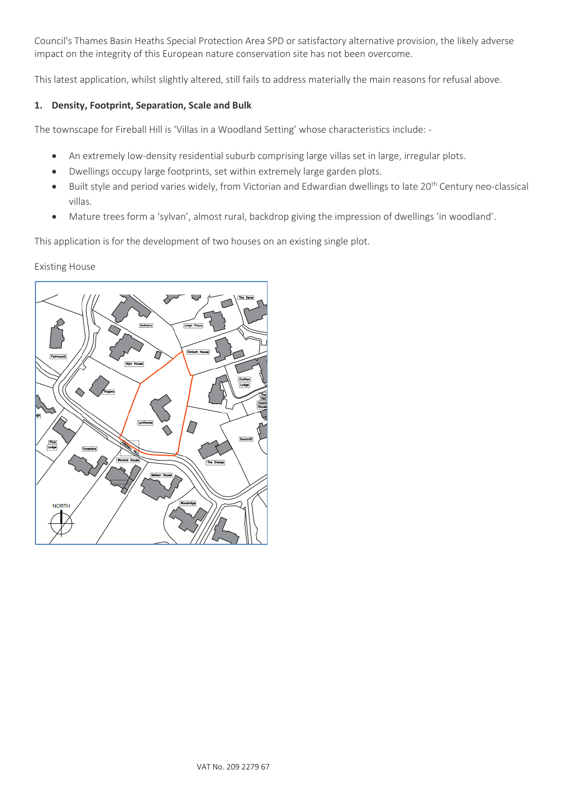Council's Thames Basin Heaths Special Protection Area SPD or satisfactory alternative provision, the likely adverse impact on the integrity of this European nature conservation site has not been overcome.

This latest application, whilst slightly altered, still fails to address materially the main reasons for refusal above.

### **1. Density, Footprint, Separation, Scale and Bulk**

The townscape for Fireball Hill is 'Villas in a Woodland Setting' whose characteristics include: -

- An extremely low-density residential suburb comprising large villas set in large, irregular plots.
- Dwellings occupy large footprints, set within extremely large garden plots.
- Built style and period varies widely, from Victorian and Edwardian dwellings to late 20<sup>th</sup> Century neo-classical villas.
- Mature trees form a 'sylvan', almost rural, backdrop giving the impression of dwellings 'in woodland'.

This application is for the development of two houses on an existing single plot.

Existing House

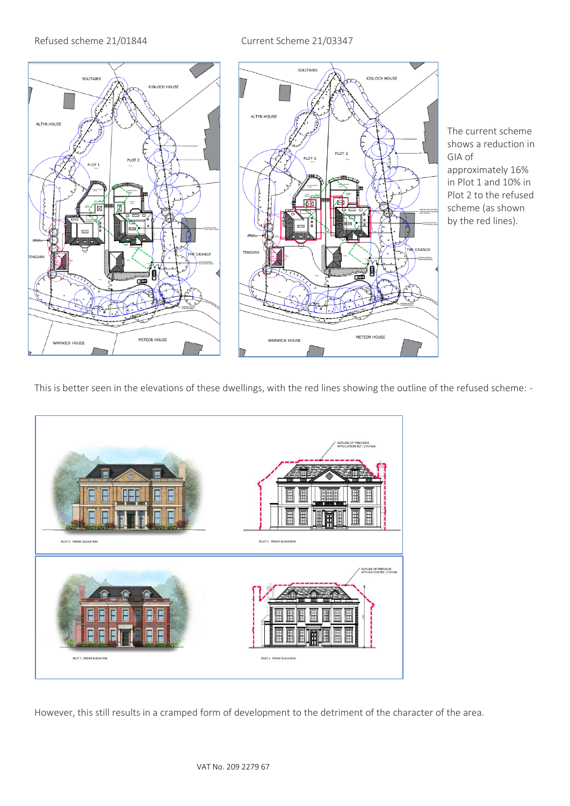## Refused scheme 21/01844 Current Scheme 21/03347



The current scheme shows a reduction in GIA of approximately 16% in Plot 1 and 10% in Plot 2 to the refused scheme (as shown by the red lines).

This is better seen in the elevations of these dwellings, with the red lines showing the outline of the refused scheme: -



However, this still results in a cramped form of development to the detriment of the character of the area.